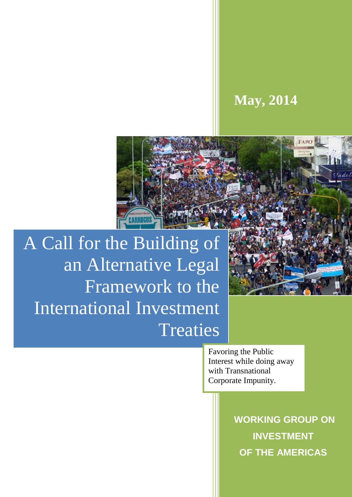# **May, 2014**



A Call for the Building of an Alternative Legal Framework to the International Investment **Treaties** 

> Favoring the Public Interest while doing away with Transnational Corporate Impunity.

> > **WORKING GROUP ON INVESTMENT OF THE AMERICAS**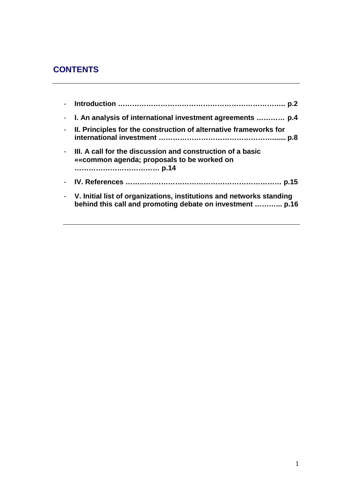## **CONTENTS**

| - I. An analysis of international investment agreements  p.4                                                                        |
|-------------------------------------------------------------------------------------------------------------------------------------|
| - II. Principles for the construction of alternative frameworks for                                                                 |
| - III. A call for the discussion and construction of a basic<br>« common agenda; proposals to be worked on                          |
|                                                                                                                                     |
| - V. Initial list of organizations, institutions and networks standing<br>behind this call and promoting debate on investment  p.16 |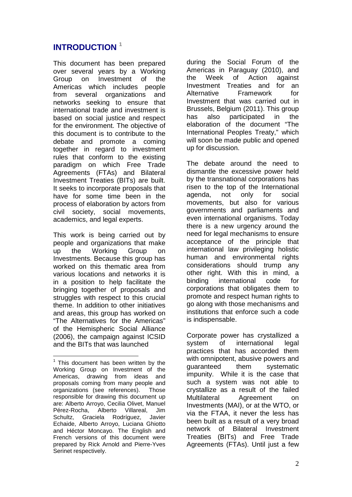### **INTRODUCTION <sup>1</sup>**

This document has been prepared over several years by a Working Group on Investment of the Americas which includes people from several organizations and networks seeking to ensure that international trade and investment is based on social justice and respect for the environment. The objective of this document is to contribute to the debate and promote a coming together in regard to investment rules that conform to the existing paradigm on which Free Trade Agreements (FTAs) and Bilateral Investment Treaties (BITs) are built. It seeks to incorporate proposals that have for some time been in the process of elaboration by actors from civil society, social movements, academics, and legal experts.

This work is being carried out by people and organizations that make up the Working Group on Investments. Because this group has worked on this thematic area from various locations and networks it is in a position to help facilitate the bringing together of proposals and struggles with respect to this crucial theme. In addition to other initiatives and areas, this group has worked on "The Alternatives for the Americas" of the Hemispheric Social Alliance (2006), the campaign against ICSID and the BITs that was launched

 $\overline{a}$ 

during the Social Forum of the Americas in Paraguay (2010), and the Week of Action against Investment Treaties and for an Alternative Framework for Investment that was carried out in Brussels, Belgium (2011). This group has also participated in the elaboration of the document "The International Peoples Treaty," which will soon be made public and opened up for discussion.

The debate around the need to dismantle the excessive power held by the transnational corporations has risen to the top of the International agenda, not only for social movements, but also for various governments and parliaments and even international organisms. Today there is a new urgency around the need for legal mechanisms to ensure acceptance of the principle that international law privileging holistic human and environmental rights considerations should trump any other right. With this in mind, a binding international code for corporations that obligates them to promote and respect human rights to go along with those mechanisms and institutions that enforce such a code is indispensable.

Corporate power has crystallized a system of international legal practices that has accorded them with omnipotent, abusive powers and guaranteed them systematic impunity. While it is the case that such a system was not able to crystallize as a result of the failed Multilateral Agreement on Investments (MAI), or at the WTO, or via the FTAA, it never the less has been built as a result of a very broad network of Bilateral Investment Treaties (BITs) and Free Trade Agreements (FTAs). Until just a few

 $1$  This document has been written by the Working Group on Investment of the Americas, drawing from ideas and proposals coming from many people and organizations (see references). Those responsible for drawing this document up are: Alberto Arroyo, Cecilia Olivet, Manuel Pérez-Rocha, Alberto Villareal, Jim Schultz, Graciela Rodríguez, Javier Echaide, Alberto Arroyo, Luciana Ghiotto and Héctor Moncayo. The English and French versions of this document were prepared by Rick Arnold and Pierre-Yves Serinet respectively.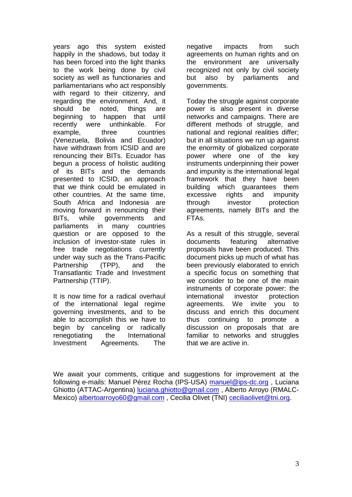years ago this system existed happily in the shadows, but today it has been forced into the light thanks to the work being done by civil society as well as functionaries and parliamentarians who act responsibly with regard to their citizenry, and regarding the environment. And, it should be noted, things are beginning to happen that until recently were unthinkable. For example, three countries (Venezuela, Bolivia and Ecuador) have withdrawn from ICSID and are renouncing their BITs. Ecuador has begun a process of holistic auditing of its BITs and the demands presented to ICSID, an approach that we think could be emulated in other countries. At the same time, South Africa and Indonesia are moving forward in renouncing their BITs, while governments and parliaments in many countries question or are opposed to the inclusion of investor-state rules in free trade negotiations currently under way such as the Trans-Pacific Partnership (TPP), and the Transatlantic Trade and Investment Partnership (TTIP).

It is now time for a radical overhaul of the international legal regime governing investments, and to be able to accomplish this we have to begin by canceling or radically renegotiating the International Investment Agreements. The

negative impacts from such agreements on human rights and on the environment are universally recognized not only by civil society but also by parliaments and governments.

Today the struggle against corporate power is also present in diverse networks and campaigns. There are different methods of struggle, and national and regional realities differ; but in all situations we run up against the enormity of globalized corporate power where one of the key instruments underpinning their power and impunity is the international legal framework that they have been building which guarantees them excessive rights and impunity through investor protection agreements, namely BITs and the FTAs.

As a result of this struggle, several documents featuring alternative proposals have been produced. This document picks up much of what has been previously elaborated to enrich a specific focus on something that we consider to be one of the main instruments of corporate power: the international investor protection agreements. We invite you to discuss and enrich this document thus continuing to promote a discussion on proposals that are familiar to networks and struggles that we are active in.

We await your comments, critique and suggestions for improvement at the following e-mails: Manuel Pérez Rocha (IPS-USA) manuel@ips-dc.org , Luciana Ghiotto (ATTAC-Argentina) luciana.ghiotto@gmail.com , Alberto Arroyo (RMALC-Mexico) albertoarroyo60@gmail.com, Cecilia Olivet (TNI) ceciliaolivet@tni.org.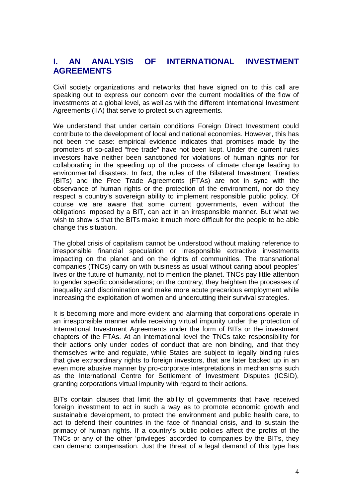### **I. AN ANALYSIS OF INTERNATIONAL INVESTMENT AGREEMENTS**

Civil society organizations and networks that have signed on to this call are speaking out to express our concern over the current modalities of the flow of investments at a global level, as well as with the different International Investment Agreements (IIA) that serve to protect such agreements.

We understand that under certain conditions Foreign Direct Investment could contribute to the development of local and national economies. However, this has not been the case: empirical evidence indicates that promises made by the promoters of so-called "free trade" have not been kept. Under the current rules investors have neither been sanctioned for violations of human rights nor for collaborating in the speeding up of the process of climate change leading to environmental disasters. In fact, the rules of the Bilateral Investment Treaties (BITs) and the Free Trade Agreements (FTAs) are not in sync with the observance of human rights or the protection of the environment, nor do they respect a country's sovereign ability to implement responsible public policy. Of course we are aware that some current governments, even without the obligations imposed by a BIT, can act in an irresponsible manner. But what we wish to show is that the BITs make it much more difficult for the people to be able change this situation.

The global crisis of capitalism cannot be understood without making reference to irresponsible financial speculation or irresponsible extractive investments impacting on the planet and on the rights of communities. The transnational companies (TNCs) carry on with business as usual without caring about peoples' lives or the future of humanity, not to mention the planet. TNCs pay little attention to gender specific considerations; on the contrary, they heighten the processes of inequality and discrimination and make more acute precarious employment while increasing the exploitation of women and undercutting their survival strategies.

It is becoming more and more evident and alarming that corporations operate in an irresponsible manner while receiving virtual impunity under the protection of International Investment Agreements under the form of BITs or the investment chapters of the FTAs. At an international level the TNCs take responsibility for their actions only under codes of conduct that are non binding, and that they themselves write and regulate, while States are subject to legally binding rules that give extraordinary rights to foreign investors, that are later backed up in an even more abusive manner by pro-corporate interpretations in mechanisms such as the International Centre for Settlement of Investment Disputes (ICSID), granting corporations virtual impunity with regard to their actions.

BITs contain clauses that limit the ability of governments that have received foreign investment to act in such a way as to promote economic growth and sustainable development, to protect the environment and public health care, to act to defend their countries in the face of financial crisis, and to sustain the primacy of human rights. If a country's public policies affect the profits of the TNCs or any of the other 'privileges' accorded to companies by the BITs, they can demand compensation. Just the threat of a legal demand of this type has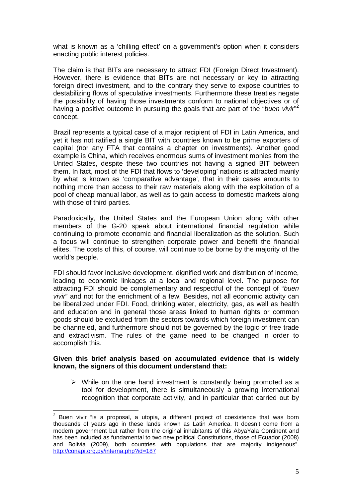what is known as a 'chilling effect' on a government's option when it considers enacting public interest policies.

The claim is that BITs are necessary to attract FDI (Foreign Direct Investment). However, there is evidence that BITs are not necessary or key to attracting foreign direct investment, and to the contrary they serve to expose countries to destabilizing flows of speculative investments. Furthermore these treaties negate the possibility of having those investments conform to national objectives or of having a positive outcome in pursuing the goals that are part of the "buen vivir"<sup>2</sup> concept.

Brazil represents a typical case of a major recipient of FDI in Latin America, and yet it has not ratified a single BIT with countries known to be prime exporters of capital (nor any FTA that contains a chapter on investments). Another good example is China, which receives enormous sums of investment monies from the United States, despite these two countries not having a signed BIT between them. In fact, most of the FDI that flows to 'developing' nations is attracted mainly by what is known as 'comparative advantage', that in their cases amounts to nothing more than access to their raw materials along with the exploitation of a pool of cheap manual labor, as well as to gain access to domestic markets along with those of third parties.

Paradoxically, the United States and the European Union along with other members of the G-20 speak about international financial regulation while continuing to promote economic and financial liberalization as the solution. Such a focus will continue to strengthen corporate power and benefit the financial elites. The costs of this, of course, will continue to be borne by the majority of the world's people.

FDI should favor inclusive development, dignified work and distribution of income, leading to economic linkages at a local and regional level. The purpose for attracting FDI should be complementary and respectful of the concept of "buen vivir" and not for the enrichment of a few. Besides, not all economic activity can be liberalized under FDI. Food, drinking water, electricity, gas, as well as health and education and in general those areas linked to human rights or common goods should be excluded from the sectors towards which foreign investment can be channeled, and furthermore should not be governed by the logic of free trade and extractivism. The rules of the game need to be changed in order to accomplish this.

#### **Given this brief analysis based on accumulated evidence that is widely known, the signers of this document understand that:**

 $\triangleright$  While on the one hand investment is constantly being promoted as a tool for development, there is simultaneously a growing international recognition that corporate activity, and in particular that carried out by

 $\frac{1}{2}$  Buen vivir "is a proposal, a utopia, a different project of coexistence that was born thousands of years ago in these lands known as Latin America. It doesn't come from a modern government but rather from the original inhabitants of this AbyaYala Continent and has been included as fundamental to two new political Constitutions, those of Ecuador (2008) and Bolivia (2009), both countries with populations that are majority indigenous". http://conapi.org.py/interna.php?id=187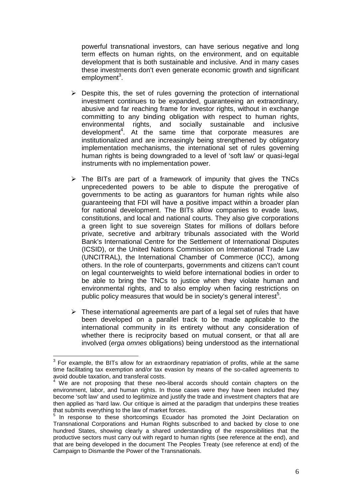powerful transnational investors, can have serious negative and long term effects on human rights, on the environment, and on equitable development that is both sustainable and inclusive. And in many cases these investments don't even generate economic growth and significant employment<sup>3</sup>.

- $\triangleright$  Despite this, the set of rules governing the protection of international investment continues to be expanded, guaranteeing an extraordinary, abusive and far reaching frame for investor rights, without in exchange committing to any binding obligation with respect to human rights, environmental rights, and socially sustainable and inclusive development<sup>4</sup>. At the same time that corporate measures are institutionalized and are increasingly being strengthened by obligatory implementation mechanisms, the international set of rules governing human rights is being downgraded to a level of 'soft law' or quasi-legal instruments with no implementation power.
- $\triangleright$  The BITs are part of a framework of impunity that gives the TNCs unprecedented powers to be able to dispute the prerogative of governments to be acting as guarantors for human rights while also guaranteeing that FDI will have a positive impact within a broader plan for national development. The BITs allow companies to evade laws, constitutions, and local and national courts. They also give corporations a green light to sue sovereign States for millions of dollars before private, secretive and arbitrary tribunals associated with the World Bank's International Centre for the Settlement of International Disputes (ICSID), or the United Nations Commission on International Trade Law (UNCITRAL), the International Chamber of Commerce (ICC), among others. In the role of counterparts, governments and citizens can't count on legal counterweights to wield before international bodies in order to be able to bring the TNCs to justice when they violate human and environmental rights, and to also employ when facing restrictions on public policy measures that would be in society's general interest<sup>5</sup>.
- $\triangleright$  These international agreements are part of a legal set of rules that have been developed on a parallel track to be made applicable to the international community in its entirety without any consideration of whether there is reciprocity based on mutual consent, or that all are involved (erga omnes obligations) being understood as the international

 3 For example, the BITs allow for an extraordinary repatriation of profits, while at the same time facilitating tax exemption and/or tax evasion by means of the so-called agreements to avoid double taxation, and transferal costs.

<sup>&</sup>lt;sup>4</sup> We are not proposing that these neo-liberal accords should contain chapters on the environment, labor, and human rights. In those cases were they have been included they become 'soft law' and used to legitimize and justify the trade and investment chapters that are then applied as 'hard law. Our critique is aimed at the paradigm that underpins these treaties that submits everything to the law of market forces.

<sup>&</sup>lt;sup>5</sup> In response to these shortcomings Ecuador has promoted the Joint Declaration on Transnational Corporations and Human Rights subscribed to and backed by close to one hundred States, showing clearly a shared understanding of the responsibilities that the productive sectors must carry out with regard to human rights (see reference at the end), and that are being developed in the document The Peoples Treaty (see reference at end) of the Campaign to Dismantle the Power of the Transnationals.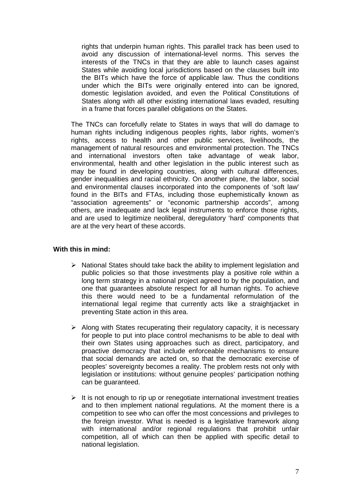rights that underpin human rights. This parallel track has been used to avoid any discussion of international-level norms. This serves the interests of the TNCs in that they are able to launch cases against States while avoiding local jurisdictions based on the clauses built into the BITs which have the force of applicable law. Thus the conditions under which the BITs were originally entered into can be ignored, domestic legislation avoided, and even the Political Constitutions of States along with all other existing international laws evaded, resulting in a frame that forces parallel obligations on the States.

The TNCs can forcefully relate to States in ways that will do damage to human rights including indigenous peoples rights, labor rights, women's rights, access to health and other public services, livelihoods, the management of natural resources and environmental protection. The TNCs and international investors often take advantage of weak labor, environmental, health and other legislation in the public interest such as may be found in developing countries, along with cultural differences, gender inequalities and racial ethnicity. On another plane, the labor, social and environmental clauses incorporated into the components of 'soft law' found in the BITs and FTAs, including those euphemistically known as "association agreements" or "economic partnership accords", among others, are inadequate and lack legal instruments to enforce those rights, and are used to legitimize neoliberal, deregulatory 'hard' components that are at the very heart of these accords.

#### **With this in mind:**

- $\triangleright$  National States should take back the ability to implement legislation and public policies so that those investments play a positive role within a long term strategy in a national project agreed to by the population, and one that guarantees absolute respect for all human rights. To achieve this there would need to be a fundamental reformulation of the international legal regime that currently acts like a straightjacket in preventing State action in this area.
- $\triangleright$  Along with States recuperating their regulatory capacity, it is necessary for people to put into place control mechanisms to be able to deal with their own States using approaches such as direct, participatory, and proactive democracy that include enforceable mechanisms to ensure that social demands are acted on, so that the democratic exercise of peoples' sovereignty becomes a reality. The problem rests not only with legislation or institutions: without genuine peoples' participation nothing can be guaranteed.
- $\triangleright$  It is not enough to rip up or renegotiate international investment treaties and to then implement national regulations. At the moment there is a competition to see who can offer the most concessions and privileges to the foreign investor. What is needed is a legislative framework along with international and/or regional regulations that prohibit unfair competition, all of which can then be applied with specific detail to national legislation.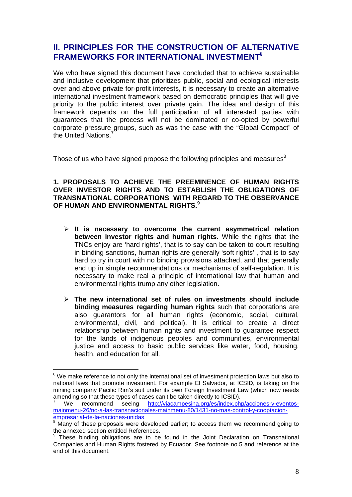### **II. PRINCIPLES FOR THE CONSTRUCTION OF ALTERNATIVE FRAMEWORKS FOR INTERNATIONAL INVESTMENT<sup>6</sup>**

We who have signed this document have concluded that to achieve sustainable and inclusive development that prioritizes public, social and ecological interests over and above private for-profit interests, it is necessary to create an alternative international investment framework based on democratic principles that will give priority to the public interest over private gain. The idea and design of this framework depends on the full participation of all interested parties with guarantees that the process will not be dominated or co-opted by powerful corporate pressure groups, such as was the case with the "Global Compact" of the United Nations.<sup>7</sup>

Those of us who have signed propose the following principles and measures $8$ 

#### **1. PROPOSALS TO ACHIEVE THE PREEMINENCE OF HUMAN RIGHTS OVER INVESTOR RIGHTS AND TO ESTABLISH THE OBLIGATIONS OF TRANSNATIONAL CORPORATIONS WITH REGARD TO THE OBSERVANCE OF HUMAN AND ENVIRONMENTAL RIGHTS.<sup>9</sup>**

- **It is necessary to overcome the current asymmetrical relation between investor rights and human rights.** While the rights that the TNCs enjoy are 'hard rights', that is to say can be taken to court resulting in binding sanctions, human rights are generally 'soft rights' , that is to say hard to try in court with no binding provisions attached, and that generally end up in simple recommendations or mechanisms of self-regulation. It is necessary to make real a principle of international law that human and environmental rights trump any other legislation.
- **The new international set of rules on investments should include binding measures regarding human rights** such that corporations are also guarantors for all human rights (economic, social, cultural, environmental, civil, and political). It is critical to create a direct relationship between human rights and investment to guarantee respect for the lands of indigenous peoples and communities, environmental justice and access to basic public services like water, food, housing, health, and education for all.

 $\overline{a}$  $^6$  We make reference to not only the international set of investment protection laws but also to national laws that promote investment. For example El Salvador, at ICSID, is taking on the mining company Pacific Rim's suit under its own Foreign Investment Law (which now needs amending so that these types of cases can't be taken directly to ICSID).

<sup>7</sup> We recommend seeing http://viacampesina.org/es/index.php/acciones-y-eventosmainmenu-26/no-a-las-transnacionales-mainmenu-80/1431-no-mas-control-y-cooptacionempresarial-de-la-naciones-unidas

<sup>&</sup>lt;sup>8</sup> Many of these proposals were developed earlier; to access them we recommend going to the annexed section entitled References.

<sup>&</sup>lt;sup>9</sup> These binding obligations are to be found in the Joint Declaration on Transnational Companies and Human Rights fostered by Ecuador. See footnote no.5 and reference at the end of this document.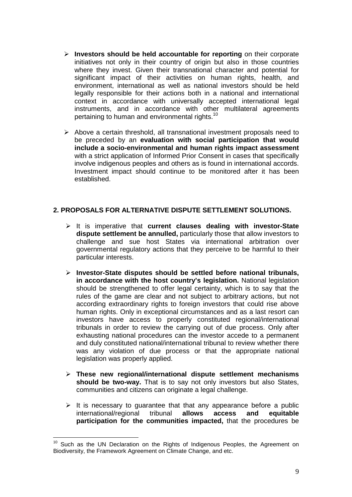- **Investors should be held accountable for reporting** on their corporate initiatives not only in their country of origin but also in those countries where they invest. Given their transnational character and potential for significant impact of their activities on human rights, health, and environment, international as well as national investors should be held legally responsible for their actions both in a national and international context in accordance with universally accepted international legal instruments, and in accordance with other multilateral agreements pertaining to human and environmental rights.<sup>10</sup>
- $\triangleright$  Above a certain threshold, all transnational investment proposals need to be preceded by an **evaluation with social participation that would include a socio-environmental and human rights impact assessment** with a strict application of Informed Prior Consent in cases that specifically involve indigenous peoples and others as is found in international accords. Investment impact should continue to be monitored after it has been established.

#### **2. PROPOSALS FOR ALTERNATIVE DISPUTE SETTLEMENT SOLUTIONS.**

- It is imperative that **current clauses dealing with investor-State dispute settlement be annulled,** particularly those that allow investors to challenge and sue host States via international arbitration over governmental regulatory actions that they perceive to be harmful to their particular interests.
- **Investor-State disputes should be settled before national tribunals, in accordance with the host country's legislation.** National legislation should be strengthened to offer legal certainty, which is to say that the rules of the game are clear and not subject to arbitrary actions, but not according extraordinary rights to foreign investors that could rise above human rights. Only in exceptional circumstances and as a last resort can investors have access to properly constituted regional/international tribunals in order to review the carrying out of due process. Only after exhausting national procedures can the investor accede to a permanent and duly constituted national/international tribunal to review whether there was any violation of due process or that the appropriate national legislation was properly applied.
- **These new regional/international dispute settlement mechanisms should be two-way.** That is to say not only investors but also States, communities and citizens can originate a legal challenge.
- $\triangleright$  It is necessary to quarantee that that any appearance before a public international/regional tribunal **allows access and equitable participation for the communities impacted,** that the procedures be

 $\overline{a}$  $10$  Such as the UN Declaration on the Rights of Indigenous Peoples, the Agreement on Biodiversity, the Framework Agreement on Climate Change, and etc.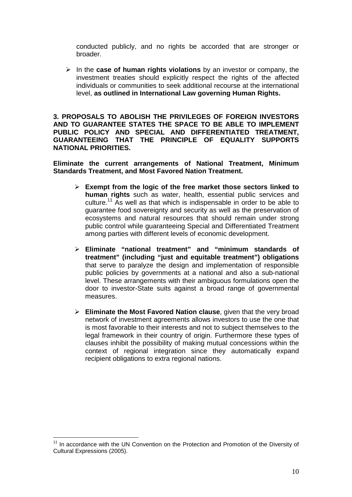conducted publicly, and no rights be accorded that are stronger or broader.

 In the **case of human rights violations** by an investor or company, the investment treaties should explicitly respect the rights of the affected individuals or communities to seek additional recourse at the international level, **as outlined in International Law governing Human Rights.**

**3. PROPOSALS TO ABOLISH THE PRIVILEGES OF FOREIGN INVESTORS AND TO GUARANTEE STATES THE SPACE TO BE ABLE TO IMPLEMENT PUBLIC POLICY AND SPECIAL AND DIFFERENTIATED TREATMENT, GUARANTEEING THAT THE PRINCIPLE OF EQUALITY SUPPORTS NATIONAL PRIORITIES.**

**Eliminate the current arrangements of National Treatment, Minimum Standards Treatment, and Most Favored Nation Treatment.**

- **Exempt from the logic of the free market those sectors linked to human rights** such as water, health, essential public services and culture.<sup>11</sup> As well as that which is indispensable in order to be able to guarantee food sovereignty and security as well as the preservation of ecosystems and natural resources that should remain under strong public control while guaranteeing Special and Differentiated Treatment among parties with different levels of economic development.
- **Eliminate "national treatment" and "minimum standards of treatment" (including "just and equitable treatment") obligations** that serve to paralyze the design and implementation of responsible public policies by governments at a national and also a sub-national level. These arrangements with their ambiguous formulations open the door to investor-State suits against a broad range of governmental measures.
- **Eliminate the Most Favored Nation clause**, given that the very broad network of investment agreements allows investors to use the one that is most favorable to their interests and not to subject themselves to the legal framework in their country of origin. Furthermore these types of clauses inhibit the possibility of making mutual concessions within the context of regional integration since they automatically expand recipient obligations to extra regional nations.

 $\overline{a}$ <sup>11</sup> In accordance with the UN Convention on the Protection and Promotion of the Diversity of Cultural Expressions (2005).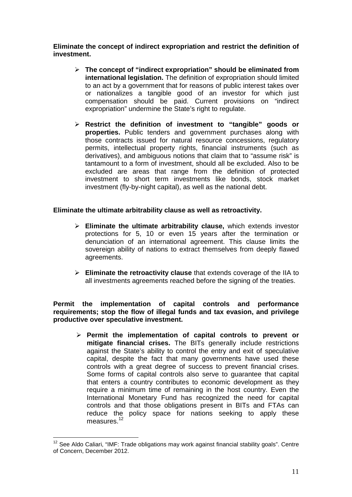**Eliminate the concept of indirect expropriation and restrict the definition of investment.**

- **The concept of "indirect expropriation" should be eliminated from international legislation.** The definition of expropriation should limited to an act by a government that for reasons of public interest takes over or nationalizes a tangible good of an investor for which just compensation should be paid. Current provisions on "indirect expropriation" undermine the State's right to regulate.
- **Restrict the definition of investment to "tangible" goods or properties.** Public tenders and government purchases along with those contracts issued for natural resource concessions, regulatory permits, intellectual property rights, financial instruments (such as derivatives), and ambiguous notions that claim that to "assume risk" is tantamount to a form of investment, should all be excluded. Also to be excluded are areas that range from the definition of protected investment to short term investments like bonds, stock market investment (fly-by-night capital), as well as the national debt.

#### **Eliminate the ultimate arbitrability clause as well as retroactivity.**

- **Eliminate the ultimate arbitrability clause,** which extends investor protections for 5, 10 or even 15 years after the termination or denunciation of an international agreement. This clause limits the sovereign ability of nations to extract themselves from deeply flawed agreements.
- **Eliminate the retroactivity clause** that extends coverage of the IIA to all investments agreements reached before the signing of the treaties.

**Permit the implementation of capital controls and performance requirements; stop the flow of illegal funds and tax evasion, and privilege productive over speculative investment.**

 **Permit the implementation of capital controls to prevent or mitigate financial crises.** The BITs generally include restrictions against the State's ability to control the entry and exit of speculative capital, despite the fact that many governments have used these controls with a great degree of success to prevent financial crises. Some forms of capital controls also serve to guarantee that capital that enters a country contributes to economic development as they require a minimum time of remaining in the host country. Even the International Monetary Fund has recognized the need for capital controls and that those obligations present in BITs and FTAs can reduce the policy space for nations seeking to apply these measures. $^{12}$ 

 $\overline{a}$  $12$  See Aldo Caliari, "IMF: Trade obligations may work against financial stability goals". Centre of Concern, December 2012.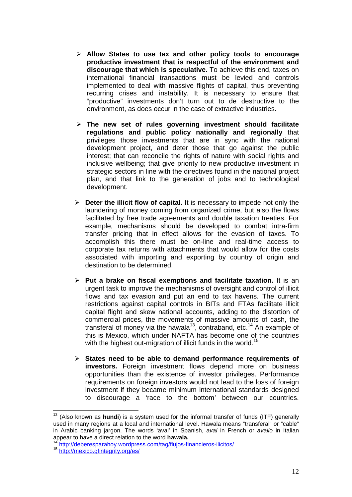- **Allow States to use tax and other policy tools to encourage productive investment that is respectful of the environment and discourage that which is speculative.** To achieve this end, taxes on international financial transactions must be levied and controls implemented to deal with massive flights of capital, thus preventing recurring crises and instability. It is necessary to ensure that "productive" investments don't turn out to de destructive to the environment, as does occur in the case of extractive industries.
- **The new set of rules governing investment should facilitate regulations and public policy nationally and regionally** that privileges those investments that are in sync with the national development project, and deter those that go against the public interest; that can reconcile the rights of nature with social rights and inclusive wellbeing; that give priority to new productive investment in strategic sectors in line with the directives found in the national project plan, and that link to the generation of jobs and to technological development.
- **Deter the illicit flow of capital.** It is necessary to impede not only the laundering of money coming from organized crime, but also the flows facilitated by free trade agreements and double taxation treaties. For example, mechanisms should be developed to combat intra-firm transfer pricing that in effect allows for the evasion of taxes. To accomplish this there must be on-line and real-time access to corporate tax returns with attachments that would allow for the costs associated with importing and exporting by country of origin and destination to be determined.
- **Put a brake on fiscal exemptions and facilitate taxation.** It is an urgent task to improve the mechanisms of oversight and control of illicit flows and tax evasion and put an end to tax havens. The current restrictions against capital controls in BITs and FTAs facilitate illicit capital flight and skew national accounts, adding to the distortion of commercial prices, the movements of massive amounts of cash, the transferal of money via the hawala<sup>13</sup>, contraband, etc.<sup>14</sup> An example of this is Mexico, which under NAFTA has become one of the countries with the highest out-migration of illicit funds in the world.<sup>15</sup>
- **States need to be able to demand performance requirements of investors.** Foreign investment flows depend more on business opportunities than the existence of investor privileges. Performance requirements on foreign investors would not lead to the loss of foreign investment if they became minimum international standards designed to discourage a 'race to the bottom' between our countries.

 $\overline{a}$ 

<sup>13</sup> (Also known as **hundi**) is a system used for the informal transfer of funds (ITF) generally used in many regions at a local and international level. Hawala means "transferal" or "cable" in Arabic banking jargon. The words 'aval' in Spanish, aval in French or avallo in Italian appear to have a direct relation to the word **hawala.**

http://deberesparahoy.wordpress.com/tag/flujos-financieros-ilicitos/

<sup>15</sup> http://mexico.gfintegrity.org/es/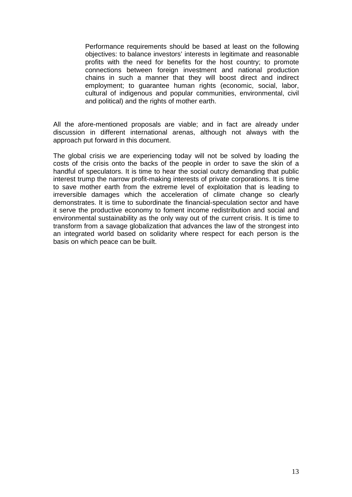Performance requirements should be based at least on the following objectives: to balance investors' interests in legitimate and reasonable profits with the need for benefits for the host country; to promote connections between foreign investment and national production chains in such a manner that they will boost direct and indirect employment; to quarantee human rights (economic, social, labor, cultural of indigenous and popular communities, environmental, civil and political) and the rights of mother earth.

All the afore-mentioned proposals are viable; and in fact are already under discussion in different international arenas, although not always with the approach put forward in this document.

The global crisis we are experiencing today will not be solved by loading the costs of the crisis onto the backs of the people in order to save the skin of a handful of speculators. It is time to hear the social outcry demanding that public interest trump the narrow profit-making interests of private corporations. It is time to save mother earth from the extreme level of exploitation that is leading to irreversible damages which the acceleration of climate change so clearly demonstrates. It is time to subordinate the financial-speculation sector and have it serve the productive economy to foment income redistribution and social and environmental sustainability as the only way out of the current crisis. It is time to transform from a savage globalization that advances the law of the strongest into an integrated world based on solidarity where respect for each person is the basis on which peace can be built.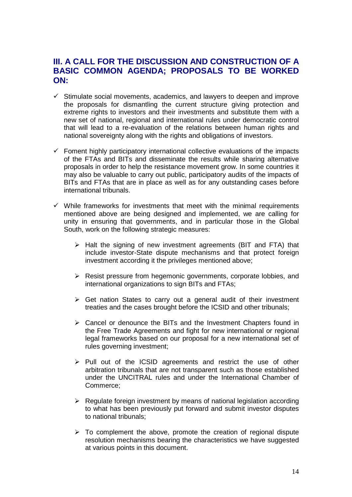### **III. A CALL FOR THE DISCUSSION AND CONSTRUCTION OF A BASIC COMMON AGENDA; PROPOSALS TO BE WORKED ON:**

- Stimulate social movements, academics, and lawyers to deepen and improve the proposals for dismantling the current structure giving protection and extreme rights to investors and their investments and substitute them with a new set of national, regional and international rules under democratic control that will lead to a re-evaluation of the relations between human rights and national sovereignty along with the rights and obligations of investors.
- $\checkmark$  Foment highly participatory international collective evaluations of the impacts of the FTAs and BITs and disseminate the results while sharing alternative proposals in order to help the resistance movement grow. In some countries it may also be valuable to carry out public, participatory audits of the impacts of BITs and FTAs that are in place as well as for any outstanding cases before international tribunals.
- $\checkmark$  While frameworks for investments that meet with the minimal requirements mentioned above are being designed and implemented, we are calling for unity in ensuring that governments, and in particular those in the Global South, work on the following strategic measures:
	- $\triangleright$  Halt the signing of new investment agreements (BIT and FTA) that include investor-State dispute mechanisms and that protect foreign investment according it the privileges mentioned above;
	- $\triangleright$  Resist pressure from hegemonic governments, corporate lobbies, and international organizations to sign BITs and FTAs;
	- $\triangleright$  Get nation States to carry out a general audit of their investment treaties and the cases brought before the ICSID and other tribunals;
	- $\triangleright$  Cancel or denounce the BITs and the Investment Chapters found in the Free Trade Agreements and fight for new international or regional legal frameworks based on our proposal for a new international set of rules governing investment;
	- $\triangleright$  Pull out of the ICSID agreements and restrict the use of other arbitration tribunals that are not transparent such as those established under the UNCITRAL rules and under the International Chamber of Commerce;
	- $\triangleright$  Regulate foreign investment by means of national legislation according to what has been previously put forward and submit investor disputes to national tribunals;
	- $\triangleright$  To complement the above, promote the creation of regional dispute resolution mechanisms bearing the characteristics we have suggested at various points in this document.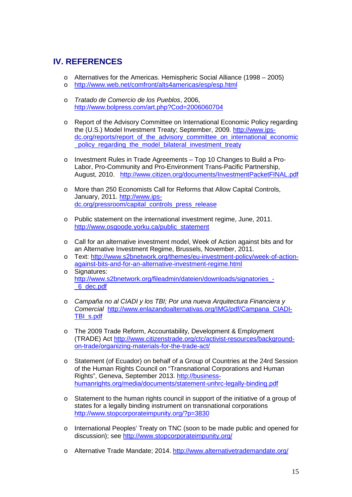### **IV. REFERENCES**

- o Alternatives for the Americas. Hemispheric Social Alliance (1998 2005)
- o http://www.web.net/comfront/alts4americas/esp/esp.html
- o Tratado de Comercio de los Pueblos, 2006, http://www.bolpress.com/art.php?Cod=2006060704
- o Report of the Advisory Committee on International Economic Policy regarding the (U.S.) Model Investment Treaty; September, 2009. http://www.ipsdc.org/reports/report\_of\_the\_advisory\_committee\_on\_international\_economic \_policy\_regarding\_the\_model\_bilateral\_investment\_treaty
- o Investment Rules in Trade Agreements Top 10 Changes to Build a Pro-Labor, Pro-Community and Pro-Environment Trans-Pacific Partnership, August, 2010. http://www.citizen.org/documents/InvestmentPacketFINAL.pdf
- o More than 250 Economists Call for Reforms that Allow Capital Controls, January, 2011. http://www.ipsdc.org/pressroom/capital\_controls\_press\_release
- o Public statement on the international investment regime, June, 2011. http://www.osgoode.yorku.ca/public\_statement
- o Call for an alternative investment model, Week of Action against bits and for an Alternative Investment Regime, Brussels, November, 2011.
- o Text: http://www.s2bnetwork.org/themes/eu-investment-policy/week-of-actionagainst-bits-and-for-an-alternative-investment-regime.html
- o Signatures: http://www.s2bnetwork.org/fileadmin/dateien/downloads/signatories -\_6\_dec.pdf
- o Campaña no al CIADI y los TBI; Por una nueva Arquitectura Financiera y Comercial http://www.enlazandoalternativas.org/IMG/pdf/Campana\_CIADI-TBI\_s.pdf
- o The 2009 Trade Reform, Accountability, Development & Employment (TRADE) Act http://www.citizenstrade.org/ctc/activist-resources/backgroundon-trade/organizing-materials-for-the-trade-act/
- o Statement (of Ecuador) on behalf of a Group of Countries at the 24rd Session of the Human Rights Council on "Transnational Corporations and Human Rights", Geneva, September 2013. http://businesshumanrights.org/media/documents/statement-unhrc-legally-binding.pdf
- o Statement to the human rights council in support of the initiative of a group of states for a legally binding instrument on transnational corporations http://www.stopcorporateimpunity.org/?p=3830
- o International Peoples' Treaty on TNC (soon to be made public and opened for discussion); see http://www.stopcorporateimpunity.org/
- o Alternative Trade Mandate; 2014. http://www.alternativetrademandate.org/